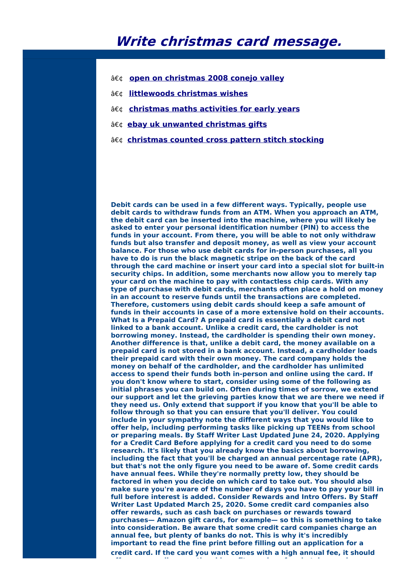## **Write christmas card message.**

- **open on [christmas](http://foto-ms.pl/detail/news/347813/chrismas/) 2008 conejo valley**
- **[littlewoods](http://foto-ms.pl/detail/news/308520/chrismas/) christmas wishes**
- **[christmas](http://foto-ms.pl/detail/news/709323/chrismas/) maths activities for early years**
- **ebay uk [unwanted](http://foto-ms.pl/detail/news/089625/chrismas/) christmas gifts**
- **[christmas](http://foto-ms.pl/detail/news/797829/chrismas/) counted cross pattern stitch stocking**

**Debit cards can be used in a few different ways. Typically, people use debit cards to withdraw funds from an ATM. When you approach an ATM, the debit card can be inserted into the machine, where you will likely be asked to enter your personal identification number (PIN) to access the funds in your account. From there, you will be able to not only withdraw funds but also transfer and deposit money, as well as view your account balance. For those who use debit cards for in-person purchases, all you have to do is run the black magnetic stripe on the back of the card through the card machine or insert your card into a special slot for built-in security chips. In addition, some merchants now allow you to merely tap your card on the machine to pay with contactless chip cards. With any type of purchase with debit cards, merchants often place a hold on money in an account to reserve funds until the transactions are completed. Therefore, customers using debit cards should keep a safe amount of funds in their accounts in case of a more extensive hold on their accounts. What Is a Prepaid Card? A prepaid card is essentially a debit card not linked to a bank account. Unlike a credit card, the cardholder is not borrowing money. Instead, the cardholder is spending their own money. Another difference is that, unlike a debit card, the money available on a prepaid card is not stored in a bank account. Instead, a cardholder loads their prepaid card with their own money. The card company holds the money on behalf of the cardholder, and the cardholder has unlimited access to spend their funds both in-person and online using the card. If you don't know where to start, consider using some of the following as initial phrases you can build on. Often during times of sorrow, we extend our support and let the grieving parties know that we are there we need if they need us. Only extend that support if you know that you'll be able to follow through so that you can ensure that you'll deliver. You could include in your sympathy note the different ways that you would like to offer help, including performing tasks like picking up TEENs from school or preparing meals. By Staff Writer Last Updated June 24, 2020. Applying for a Credit Card Before applying for a credit card you need to do some research. It's likely that you already know the basics about borrowing, including the fact that you'll be charged an annual percentage rate (APR), but that's not the only figure you need to be aware of. Some credit cards have annual fees. While they're normally pretty low, they should be factored in when you decide on which card to take out. You should also make sure you're aware of the number of days you have to pay your bill in full before interest is added. Consider Rewards and Intro Offers. By Staff Writer Last Updated March 25, 2020. Some credit card companies also offer rewards, such as cash back on purchases or rewards toward purchases— Amazon gift cards, for example— so this is something to take into consideration. Be aware that some credit card companies charge an annual fee, but plenty of banks do not. This is why it's incredibly important to read the fine print before filling out an application for a credit card. If the card you want comes with a high annual fee, it should**

**offer some really exceptional benefits, such as free hotel upgrades or**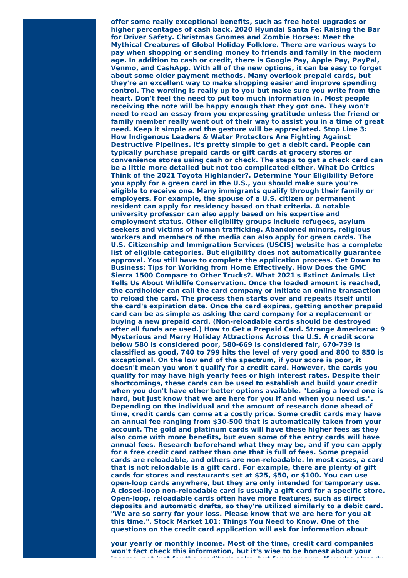**offer some really exceptional benefits, such as free hotel upgrades or higher percentages of cash back. 2020 Hyundai Santa Fe: Raising the Bar for Driver Safety. Christmas Gnomes and Zombie Horses: Meet the Mythical Creatures of Global Holiday Folklore. There are various ways to pay when shopping or sending money to friends and family in the modern age. In addition to cash or credit, there is Google Pay, Apple Pay, PayPal, Venmo, and CashApp. With all of the new options, it can be easy to forget about some older payment methods. Many overlook prepaid cards, but they're an excellent way to make shopping easier and improve spending control. The wording is really up to you but make sure you write from the heart. Don't feel the need to put too much information in. Most people receiving the note will be happy enough that they got one. They won't need to read an essay from you expressing gratitude unless the friend or family member really went out of their way to assist you in a time of great need. Keep it simple and the gesture will be appreciated. Stop Line 3: How Indigenous Leaders & Water Protectors Are Fighting Against Destructive Pipelines. It's pretty simple to get a debit card. People can typically purchase prepaid cards or gift cards at grocery stores or convenience stores using cash or check. The steps to get a check card can be a little more detailed but not too complicated either. What Do Critics Think of the 2021 Toyota Highlander?. Determine Your Eligibility Before you apply for a green card in the U.S., you should make sure you're eligible to receive one. Many immigrants qualify through their family or employers. For example, the spouse of a U.S. citizen or permanent resident can apply for residency based on that criteria. A notable university professor can also apply based on his expertise and employment status. Other eligibility groups include refugees, asylum seekers and victims of human trafficking. Abandoned minors, religious workers and members of the media can also apply for green cards. The U.S. Citizenship and Immigration Services (USCIS) website has a complete list of eligible categories. But eligibility does not automatically guarantee approval. You still have to complete the application process. Get Down to Business: Tips for Working from Home Effectively. How Does the GMC Sierra 1500 Compare to Other Trucks?. What 2021's Extinct Animals List Tells Us About Wildlife Conservation. Once the loaded amount is reached, the cardholder can call the card company or initiate an online transaction to reload the card. The process then starts over and repeats itself until the card's expiration date. Once the card expires, getting another prepaid card can be as simple as asking the card company for a replacement or buying a new prepaid card. (Non-reloadable cards should be destroyed after all funds are used.) How to Get a Prepaid Card. Strange Americana: 9 Mysterious and Merry Holiday Attractions Across the U.S. A credit score below 580 is considered poor, 580-669 is considered fair, 670-739 is classified as good, 740 to 799 hits the level of very good and 800 to 850 is exceptional. On the low end of the spectrum, if your score is poor, it doesn't mean you won't qualify for a credit card. However, the cards you qualify for may have high yearly fees or high interest rates. Despite their shortcomings, these cards can be used to establish and build your credit when you don't have other better options available. "Losing a loved one is hard, but just know that we are here for you if and when you need us.". Depending on the individual and the amount of research done ahead of time, credit cards can come at a costly price. Some credit cards may have an annual fee ranging from \$30-500 that is automatically taken from your account. The gold and platinum cards will have these higher fees as they also come with more benefits, but even some of the entry cards will have annual fees. Research beforehand what they may be, and if you can apply for a free credit card rather than one that is full of fees. Some prepaid cards are reloadable, and others are non-reloadable. In most cases, a card that is not reloadable is a gift card. For example, there are plenty of gift cards for stores and restaurants set at \$25, \$50, or \$100. You can use open-loop cards anywhere, but they are only intended for temporary use. A closed-loop non-reloadable card is usually a gift card for a specific store. Open-loop, reloadable cards often have more features, such as direct deposits and automatic drafts, so they're utilized similarly to a debit card. "We are so sorry for your loss. Please know that we are here for you at this time.". Stock Market 101: Things You Need to Know. One of the questions on the credit card application will ask for information about**

**your yearly or monthly income. Most of the time, credit card companies won't fact check this information, but it's wise to be honest about your income, not just for the creditor's sake, but for your own. If you're already**